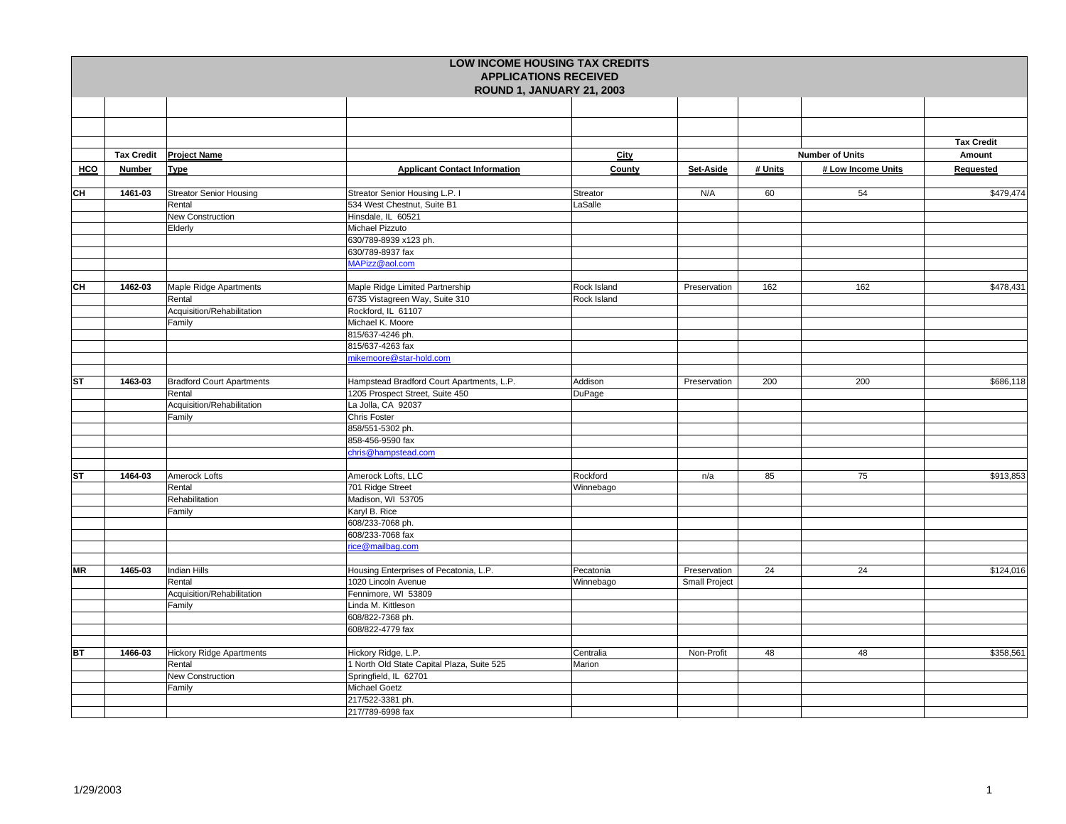|           |                   |                                  |                                            | <b>LOW INCOME HOUSING TAX CREDITS</b><br><b>APPLICATIONS RECEIVED</b><br>ROUND 1, JANUARY 21, 2003 |               |         |                        |                   |
|-----------|-------------------|----------------------------------|--------------------------------------------|----------------------------------------------------------------------------------------------------|---------------|---------|------------------------|-------------------|
|           |                   |                                  |                                            |                                                                                                    |               |         |                        |                   |
|           |                   |                                  |                                            |                                                                                                    |               |         |                        |                   |
|           |                   |                                  |                                            |                                                                                                    |               |         |                        |                   |
|           |                   |                                  |                                            |                                                                                                    |               |         |                        | <b>Tax Credit</b> |
|           | <b>Tax Credit</b> | <b>Project Name</b>              |                                            | City                                                                                               |               |         | <b>Number of Units</b> | Amount            |
| HCO       | Number            | <b>Type</b>                      | <b>Applicant Contact Information</b>       | County                                                                                             | Set-Aside     | # Units | # Low Income Units     | Requested         |
|           |                   |                                  |                                            |                                                                                                    |               |         |                        |                   |
| CН        | 1461-03           | <b>Streator Senior Housing</b>   | Streator Senior Housing L.P. I             | Streator                                                                                           | N/A           | 60      | 54                     | \$479,474         |
|           |                   | Rental                           | 534 West Chestnut, Suite B1                | LaSalle                                                                                            |               |         |                        |                   |
|           |                   | New Construction                 | Hinsdale, IL 60521                         |                                                                                                    |               |         |                        |                   |
|           |                   | Elderly                          | Michael Pizzuto                            |                                                                                                    |               |         |                        |                   |
|           |                   |                                  | 630/789-8939 x123 ph.                      |                                                                                                    |               |         |                        |                   |
|           |                   |                                  | 630/789-8937 fax                           |                                                                                                    |               |         |                        |                   |
|           |                   |                                  | MAPizz@aol.com                             |                                                                                                    |               |         |                        |                   |
|           |                   |                                  |                                            |                                                                                                    |               |         |                        |                   |
| CН        | 1462-03           | Maple Ridge Apartments           | Maple Ridge Limited Partnership            | Rock Island                                                                                        | Preservation  | 162     | 162                    | \$478,431         |
|           |                   | Rental                           | 6735 Vistagreen Way, Suite 310             | Rock Island                                                                                        |               |         |                        |                   |
|           |                   | Acquisition/Rehabilitation       | Rockford, IL 61107                         |                                                                                                    |               |         |                        |                   |
|           |                   | Family                           | Michael K. Moore                           |                                                                                                    |               |         |                        |                   |
|           |                   |                                  | 815/637-4246 ph.                           |                                                                                                    |               |         |                        |                   |
|           |                   |                                  | 815/637-4263 fax                           |                                                                                                    |               |         |                        |                   |
|           |                   |                                  | mikemoore@star-hold.com                    |                                                                                                    |               |         |                        |                   |
|           |                   |                                  |                                            |                                                                                                    |               |         |                        |                   |
| <b>ST</b> | 1463-03           | <b>Bradford Court Apartments</b> | Hampstead Bradford Court Apartments, L.P.  | Addison                                                                                            | Preservation  | 200     | 200                    | \$686,118         |
|           |                   | Rental                           | 1205 Prospect Street, Suite 450            | DuPage                                                                                             |               |         |                        |                   |
|           |                   | Acquisition/Rehabilitation       | La Jolla, CA 92037                         |                                                                                                    |               |         |                        |                   |
|           |                   | Family                           | <b>Chris Foster</b>                        |                                                                                                    |               |         |                        |                   |
|           |                   |                                  | 858/551-5302 ph.                           |                                                                                                    |               |         |                        |                   |
|           |                   |                                  | 858-456-9590 fax                           |                                                                                                    |               |         |                        |                   |
|           |                   |                                  | chris@hampstead.com                        |                                                                                                    |               |         |                        |                   |
|           |                   |                                  |                                            |                                                                                                    |               |         |                        |                   |
| <b>ST</b> | 1464-03           | Amerock Lofts                    | Amerock Lofts, LLC                         | Rockford                                                                                           | n/a           | 85      | 75                     | \$913,853         |
|           |                   | Rental                           | 701 Ridge Street                           | Winnebago                                                                                          |               |         |                        |                   |
|           |                   | Rehabilitation                   | Madison, WI 53705                          |                                                                                                    |               |         |                        |                   |
|           |                   | Family                           | Karyl B. Rice                              |                                                                                                    |               |         |                        |                   |
|           |                   |                                  | 608/233-7068 ph.                           |                                                                                                    |               |         |                        |                   |
|           |                   |                                  | 608/233-7068 fax                           |                                                                                                    |               |         |                        |                   |
|           |                   |                                  | rice@mailbag.com                           |                                                                                                    |               |         |                        |                   |
|           |                   |                                  |                                            |                                                                                                    |               |         |                        |                   |
| <b>MR</b> | 1465-03           | <b>Indian Hills</b>              | Housing Enterprises of Pecatonia, L.P.     | Pecatonia                                                                                          | Preservation  | 24      | 24                     | \$124,016         |
|           |                   | Rental                           | 1020 Lincoln Avenue                        | Winnebago                                                                                          | Small Project |         |                        |                   |
|           |                   | Acquisition/Rehabilitation       | Fennimore, WI 53809                        |                                                                                                    |               |         |                        |                   |
|           |                   | Family                           | Linda M. Kittleson                         |                                                                                                    |               |         |                        |                   |
|           |                   |                                  | 608/822-7368 ph.                           |                                                                                                    |               |         |                        |                   |
|           |                   |                                  | 608/822-4779 fax                           |                                                                                                    |               |         |                        |                   |
|           |                   |                                  |                                            |                                                                                                    |               |         |                        |                   |
| <b>BT</b> | 1466-03           | <b>Hickory Ridge Apartments</b>  | Hickory Ridge, L.P.                        | Centralia                                                                                          | Non-Profit    | 48      | 48                     | \$358,561         |
|           |                   | Rental                           | 1 North Old State Capital Plaza, Suite 525 | Marion                                                                                             |               |         |                        |                   |
|           |                   | New Construction                 | Springfield, IL 62701                      |                                                                                                    |               |         |                        |                   |
|           |                   | Family                           | <b>Michael Goetz</b>                       |                                                                                                    |               |         |                        |                   |
|           |                   |                                  | 217/522-3381 ph.                           |                                                                                                    |               |         |                        |                   |
|           |                   |                                  | 217/789-6998 fax                           |                                                                                                    |               |         |                        |                   |
|           |                   |                                  |                                            |                                                                                                    |               |         |                        |                   |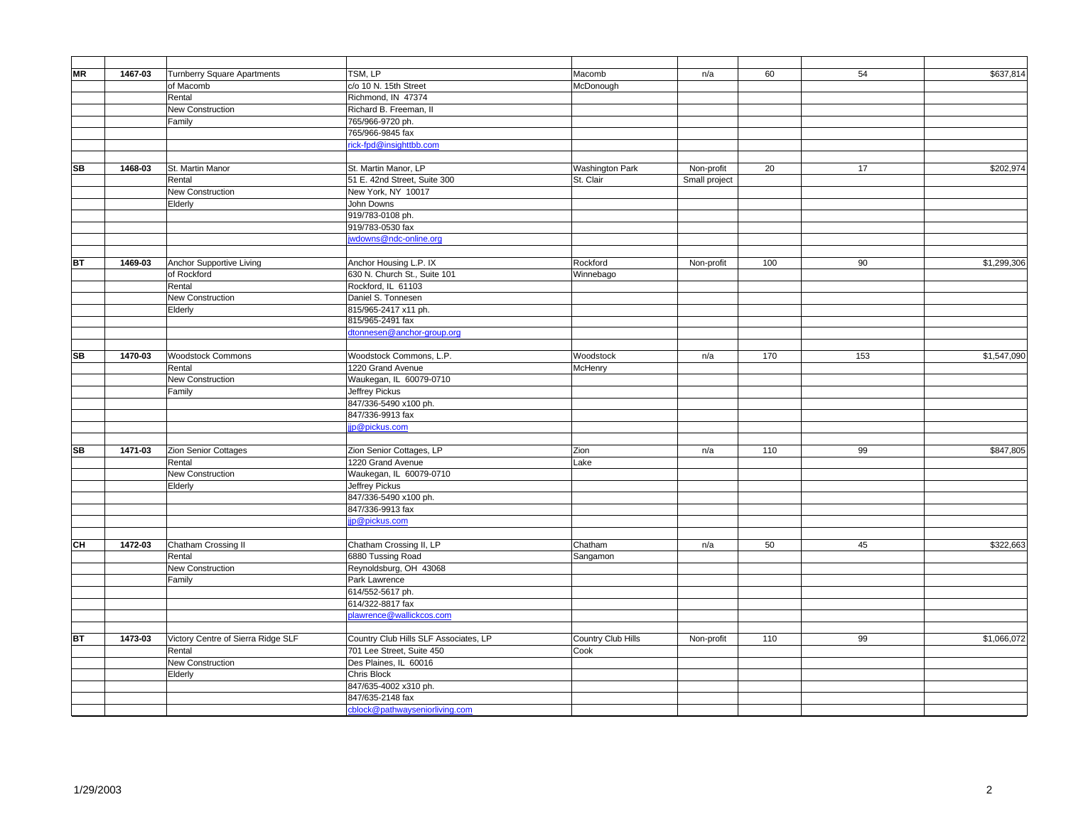| MR        | 1467-03 | <b>Turnberry Square Apartments</b> | TSM, LP                                            | Macomb                 | n/a           | 60  | 54  | \$637,814   |
|-----------|---------|------------------------------------|----------------------------------------------------|------------------------|---------------|-----|-----|-------------|
|           |         | of Macomb                          | c/o 10 N. 15th Street                              | McDonough              |               |     |     |             |
|           |         | Rental                             | Richmond, IN 47374                                 |                        |               |     |     |             |
|           |         | New Construction                   | Richard B. Freeman, II                             |                        |               |     |     |             |
|           |         | Family                             | 765/966-9720 ph.                                   |                        |               |     |     |             |
|           |         |                                    | 765/966-9845 fax                                   |                        |               |     |     |             |
|           |         |                                    | rick-fpd@insighttbb.com                            |                        |               |     |     |             |
|           |         |                                    |                                                    |                        |               |     |     |             |
| <b>SB</b> | 1468-03 | St. Martin Manor                   | St. Martin Manor, LP                               | <b>Washington Park</b> | Non-profit    | 20  | 17  | \$202,974   |
|           |         | Rental                             | 51 E. 42nd Street, Suite 300                       | St. Clair              | Small project |     |     |             |
|           |         | New Construction                   | New York, NY 10017                                 |                        |               |     |     |             |
|           |         | Elderly                            | John Downs                                         |                        |               |     |     |             |
|           |         |                                    | 919/783-0108 ph.                                   |                        |               |     |     |             |
|           |         |                                    | 919/783-0530 fax                                   |                        |               |     |     |             |
|           |         |                                    | wdowns@ndc-online.org                              |                        |               |     |     |             |
|           |         |                                    |                                                    |                        |               |     |     |             |
| <b>BT</b> | 1469-03 | Anchor Supportive Living           | Anchor Housing L.P. IX                             | Rockford               | Non-profit    | 100 | 90  | \$1,299,306 |
|           |         | of Rockford                        | 630 N. Church St., Suite 101<br>Rockford, IL 61103 | Winnebago              |               |     |     |             |
|           |         | Rental                             | Daniel S. Tonnesen                                 |                        |               |     |     |             |
|           |         | New Construction<br>Elderly        | 815/965-2417 x11 ph.                               |                        |               |     |     |             |
|           |         |                                    | 815/965-2491 fax                                   |                        |               |     |     |             |
|           |         |                                    | dtonnesen@anchor-group.org                         |                        |               |     |     |             |
|           |         |                                    |                                                    |                        |               |     |     |             |
| <b>SB</b> | 1470-03 | <b>Woodstock Commons</b>           | Woodstock Commons, L.P.                            | Woodstock              | n/a           | 170 | 153 | \$1,547,090 |
|           |         | Rental                             | 1220 Grand Avenue                                  | McHenry                |               |     |     |             |
|           |         | New Construction                   | Waukegan, IL 60079-0710                            |                        |               |     |     |             |
|           |         | Family                             | Jeffrey Pickus                                     |                        |               |     |     |             |
|           |         |                                    | 847/336-5490 x100 ph.                              |                        |               |     |     |             |
|           |         |                                    | 847/336-9913 fax                                   |                        |               |     |     |             |
|           |         |                                    | jp@pickus.com                                      |                        |               |     |     |             |
|           |         |                                    |                                                    |                        |               |     |     |             |
| <b>SB</b> | 1471-03 | Zion Senior Cottages               | Zion Senior Cottages, LP                           | Zion                   | n/a           | 110 | 99  | \$847,805   |
|           |         | Rental                             | 1220 Grand Avenue                                  | Lake                   |               |     |     |             |
|           |         | New Construction                   | Waukegan, IL 60079-0710                            |                        |               |     |     |             |
|           |         | Elderly                            | Jeffrey Pickus                                     |                        |               |     |     |             |
|           |         |                                    | 847/336-5490 x100 ph.                              |                        |               |     |     |             |
|           |         |                                    | 847/336-9913 fax                                   |                        |               |     |     |             |
|           |         |                                    | jp@pickus.com                                      |                        |               |     |     |             |
|           |         |                                    |                                                    |                        |               |     |     |             |
| CH        | 1472-03 | Chatham Crossing II                | Chatham Crossing II, LP                            | Chatham                | n/a           | 50  | 45  | \$322,663   |
|           |         | Rental                             | 6880 Tussing Road                                  | Sangamon               |               |     |     |             |
|           |         | New Construction                   | Reynoldsburg, OH 43068<br>Park Lawrence            |                        |               |     |     |             |
|           |         | Family                             |                                                    |                        |               |     |     |             |
|           |         |                                    | 614/552-5617 ph.<br>614/322-8817 fax               |                        |               |     |     |             |
|           |         |                                    | plawrence@wallickcos.com                           |                        |               |     |     |             |
|           |         |                                    |                                                    |                        |               |     |     |             |
| <b>BT</b> | 1473-03 | Victory Centre of Sierra Ridge SLF | Country Club Hills SLF Associates, LP              | Country Club Hills     | Non-profit    | 110 | 99  | \$1,066,072 |
|           |         | Rental                             | 701 Lee Street, Suite 450                          | Cook                   |               |     |     |             |
|           |         | New Construction                   | Des Plaines, IL 60016                              |                        |               |     |     |             |
|           |         | Elderly                            | Chris Block                                        |                        |               |     |     |             |
|           |         |                                    | 847/635-4002 x310 ph.                              |                        |               |     |     |             |
|           |         |                                    | 847/635-2148 fax                                   |                        |               |     |     |             |
|           |         |                                    | cblock@pathwayseniorliving.com                     |                        |               |     |     |             |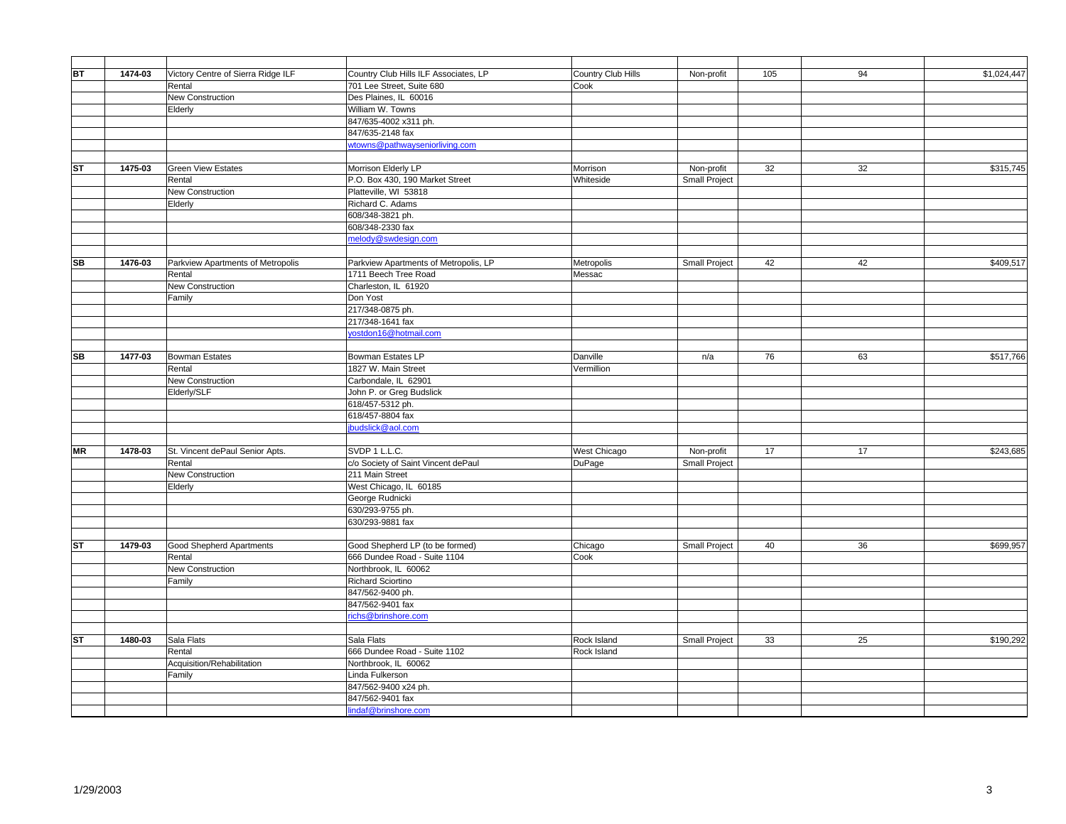| BT        | 1474-03 | Victory Centre of Sierra Ridge ILF | Country Club Hills ILF Associates, LP                | Country Club Hills | Non-profit           | 105 | 94 | \$1,024,447 |
|-----------|---------|------------------------------------|------------------------------------------------------|--------------------|----------------------|-----|----|-------------|
|           |         | Rental                             | 701 Lee Street, Suite 680                            | Cook               |                      |     |    |             |
|           |         | New Construction                   | Des Plaines, IL 60016                                |                    |                      |     |    |             |
|           |         | Elderly                            | William W. Towns                                     |                    |                      |     |    |             |
|           |         |                                    | 847/635-4002 x311 ph.                                |                    |                      |     |    |             |
|           |         |                                    | 847/635-2148 fax                                     |                    |                      |     |    |             |
|           |         |                                    | wtowns@pathwayseniorliving.com                       |                    |                      |     |    |             |
|           |         |                                    |                                                      |                    |                      |     |    |             |
| ST        | 1475-03 | <b>Green View Estates</b>          | Morrison Elderly LP                                  | Morrison           | Non-profit           | 32  | 32 | \$315,745   |
|           |         | Rental                             | P.O. Box 430, 190 Market Street                      | Whiteside          | Small Project        |     |    |             |
|           |         | New Construction                   | Platteville, WI 53818                                |                    |                      |     |    |             |
|           |         | Elderly                            | Richard C. Adams                                     |                    |                      |     |    |             |
|           |         |                                    | 608/348-3821 ph.                                     |                    |                      |     |    |             |
|           |         |                                    | 608/348-2330 fax                                     |                    |                      |     |    |             |
|           |         |                                    | melody@swdesign.com                                  |                    |                      |     |    |             |
|           |         |                                    |                                                      |                    |                      |     |    |             |
| <b>SB</b> | 1476-03 | Parkview Apartments of Metropolis  | Parkview Apartments of Metropolis, LP                | Metropolis         | Small Project        | 42  | 42 | \$409,517   |
|           |         | Rental                             | 1711 Beech Tree Road                                 | Messac             |                      |     |    |             |
|           |         | <b>New Construction</b>            | Charleston, IL 61920                                 |                    |                      |     |    |             |
|           |         | Family                             | Don Yost                                             |                    |                      |     |    |             |
|           |         |                                    | 217/348-0875 ph.                                     |                    |                      |     |    |             |
|           |         |                                    | 217/348-1641 fax                                     |                    |                      |     |    |             |
|           |         |                                    | yostdon16@hotmail.com                                |                    |                      |     |    |             |
|           |         |                                    |                                                      |                    |                      |     |    |             |
| <b>SB</b> | 1477-03 | <b>Bowman Estates</b>              | <b>Bowman Estates LP</b>                             | Danville           | n/a                  | 76  | 63 | \$517,766   |
|           |         | Rental                             | 1827 W. Main Street                                  | Vermillion         |                      |     |    |             |
|           |         | <b>New Construction</b>            | Carbondale, IL 62901                                 |                    |                      |     |    |             |
|           |         | Elderly/SLF                        | John P. or Greg Budslick                             |                    |                      |     |    |             |
|           |         |                                    | 618/457-5312 ph.                                     |                    |                      |     |    |             |
|           |         |                                    | 618/457-8804 fax                                     |                    |                      |     |    |             |
|           |         |                                    | ibudslick@aol.com                                    |                    |                      |     |    |             |
|           |         |                                    |                                                      |                    |                      |     |    |             |
| <b>MR</b> | 1478-03 | St. Vincent dePaul Senior Apts.    | SVDP 1 L.L.C.                                        | West Chicago       | Non-profit           | 17  | 17 | \$243,685   |
|           |         | Rental                             | c/o Society of Saint Vincent dePaul                  | DuPage             | <b>Small Project</b> |     |    |             |
|           |         | New Construction                   | 211 Main Street                                      |                    |                      |     |    |             |
|           |         | Elderly                            | West Chicago, IL 60185                               |                    |                      |     |    |             |
|           |         |                                    | George Rudnicki                                      |                    |                      |     |    |             |
|           |         |                                    | 630/293-9755 ph.                                     |                    |                      |     |    |             |
|           |         |                                    | 630/293-9881 fax                                     |                    |                      |     |    |             |
|           |         |                                    |                                                      |                    |                      |     |    |             |
| <b>ST</b> | 1479-03 | <b>Good Shepherd Apartments</b>    | Good Shepherd LP (to be formed)                      | Chicago            | Small Project        | 40  | 36 | \$699,957   |
|           |         | Rental                             | 666 Dundee Road - Suite 1104                         | Cook               |                      |     |    |             |
|           |         | New Construction                   | Northbrook, IL 60062                                 |                    |                      |     |    |             |
|           |         | Family                             | Richard Sciortino                                    |                    |                      |     |    |             |
|           |         |                                    | 847/562-9400 ph.                                     |                    |                      |     |    |             |
|           |         |                                    | 847/562-9401 fax                                     |                    |                      |     |    |             |
|           |         |                                    | richs@brinshore.com                                  |                    |                      |     |    |             |
|           | 1480-03 | Sala Flats                         | Sala Flats                                           | Rock Island        |                      | 33  | 25 | \$190,292   |
| <b>ST</b> |         |                                    |                                                      |                    | <b>Small Project</b> |     |    |             |
|           |         | Rental                             | 666 Dundee Road - Suite 1102<br>Northbrook, IL 60062 | Rock Island        |                      |     |    |             |
|           |         | Acquisition/Rehabilitation         |                                                      |                    |                      |     |    |             |
|           |         | Family                             | Linda Fulkerson                                      |                    |                      |     |    |             |
|           |         |                                    | 847/562-9400 x24 ph.<br>847/562-9401 fax             |                    |                      |     |    |             |
|           |         |                                    | lindaf@brinshore.com                                 |                    |                      |     |    |             |
|           |         |                                    |                                                      |                    |                      |     |    |             |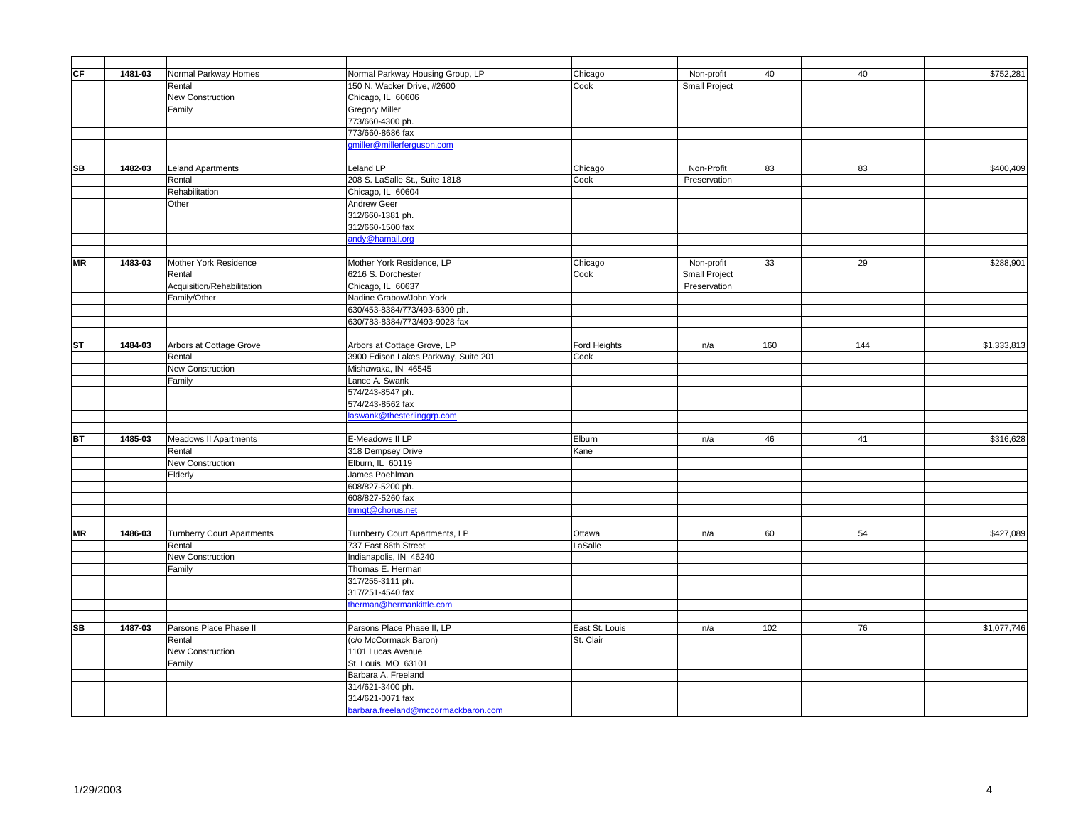| Normal Parkway Housing Group, LP<br>\$752,281<br>1481-03<br>Normal Parkway Homes<br>40<br>40<br>Chicago<br>Non-profit<br>150 N. Wacker Drive, #2600<br>Rental<br>Cook<br>Small Project<br>Chicago, IL 60606<br>New Construction<br><b>Gregory Miller</b><br>Family<br>773/660-4300 ph.<br>773/660-8686 fax<br>gmiller@millerferguson.com<br>Leland Apartments<br>Leland LP<br>83<br>83<br>\$400,409<br>1482-03<br>Non-Profit<br>Chicago<br>208 S. LaSalle St., Suite 1818<br>Rental<br>Cook<br>Preservation<br>Rehabilitation<br>Chicago, IL 60604<br><b>Andrew Geer</b><br>Other<br>312/660-1381 ph.<br>312/660-1500 fax<br>andy@hamail.org<br>Mother York Residence, LP<br>29<br>\$288,901<br>1483-03<br>Mother York Residence<br>Chicago<br>Non-profit<br>33<br>6216 S. Dorchester<br>Small Project<br>Rental<br>Cook<br>Acquisition/Rehabilitation<br>Chicago, IL 60637<br>Preservation<br>Nadine Grabow/John York<br>Family/Other<br>630/453-8384/773/493-6300 ph.<br>630/783-8384/773/493-9028 fax<br>1484-03<br>Arbors at Cottage Grove<br>Arbors at Cottage Grove, LP<br>Ford Heights<br>160<br>144<br>\$1,333,813<br>n/a<br>3900 Edison Lakes Parkway, Suite 201<br>Rental<br>Cook<br>New Construction<br>Mishawaka, IN 46545<br>Lance A. Swank<br>Family<br>574/243-8547 ph.<br>574/243-8562 fax<br>aswank@thesterlinggrp.com<br>E-Meadows II LP<br>1485-03<br><b>Meadows II Apartments</b><br>41<br>\$316,628<br>Elburn<br>46<br>n/a<br>318 Dempsey Drive<br>Rental<br>Kane<br>Elburn, IL 60119<br><b>New Construction</b><br>James Poehlman<br>Elderly<br>608/827-5200 ph.<br>608/827-5260 fax<br>tnmgt@chorus.net<br><b>Turnberry Court Apartments</b><br>\$427,089<br>1486-03<br>Turnberry Court Apartments, LP<br>60<br>54<br>Ottawa<br>n/a<br>737 East 86th Street<br>Rental<br>LaSalle<br>Indianapolis, IN 46240<br>New Construction<br>Thomas E. Herman<br>Family<br>317/255-3111 ph.<br>317/251-4540 fax<br>therman@hermankittle.com<br>Parsons Place Phase II<br>Parsons Place Phase II, LP<br>East St. Louis<br>102<br>76<br>\$1,077,746<br>1487-03<br>n/a<br>(c/o McCormack Baron)<br>St. Clair<br>Rental<br>New Construction<br>1101 Lucas Avenue<br>St. Louis, MO 63101<br>Family<br>Barbara A. Freeland<br>314/621-3400 ph.<br>314/621-0071 fax<br>barbara.freeland@mccormackbaron.com |           |  |  |  |  |
|-----------------------------------------------------------------------------------------------------------------------------------------------------------------------------------------------------------------------------------------------------------------------------------------------------------------------------------------------------------------------------------------------------------------------------------------------------------------------------------------------------------------------------------------------------------------------------------------------------------------------------------------------------------------------------------------------------------------------------------------------------------------------------------------------------------------------------------------------------------------------------------------------------------------------------------------------------------------------------------------------------------------------------------------------------------------------------------------------------------------------------------------------------------------------------------------------------------------------------------------------------------------------------------------------------------------------------------------------------------------------------------------------------------------------------------------------------------------------------------------------------------------------------------------------------------------------------------------------------------------------------------------------------------------------------------------------------------------------------------------------------------------------------------------------------------------------------------------------------------------------------------------------------------------------------------------------------------------------------------------------------------------------------------------------------------------------------------------------------------------------------------------------------------------------------------------------------------------------------------------------------------------------------------------------------------------|-----------|--|--|--|--|
|                                                                                                                                                                                                                                                                                                                                                                                                                                                                                                                                                                                                                                                                                                                                                                                                                                                                                                                                                                                                                                                                                                                                                                                                                                                                                                                                                                                                                                                                                                                                                                                                                                                                                                                                                                                                                                                                                                                                                                                                                                                                                                                                                                                                                                                                                                                 | CF        |  |  |  |  |
|                                                                                                                                                                                                                                                                                                                                                                                                                                                                                                                                                                                                                                                                                                                                                                                                                                                                                                                                                                                                                                                                                                                                                                                                                                                                                                                                                                                                                                                                                                                                                                                                                                                                                                                                                                                                                                                                                                                                                                                                                                                                                                                                                                                                                                                                                                                 |           |  |  |  |  |
|                                                                                                                                                                                                                                                                                                                                                                                                                                                                                                                                                                                                                                                                                                                                                                                                                                                                                                                                                                                                                                                                                                                                                                                                                                                                                                                                                                                                                                                                                                                                                                                                                                                                                                                                                                                                                                                                                                                                                                                                                                                                                                                                                                                                                                                                                                                 |           |  |  |  |  |
|                                                                                                                                                                                                                                                                                                                                                                                                                                                                                                                                                                                                                                                                                                                                                                                                                                                                                                                                                                                                                                                                                                                                                                                                                                                                                                                                                                                                                                                                                                                                                                                                                                                                                                                                                                                                                                                                                                                                                                                                                                                                                                                                                                                                                                                                                                                 |           |  |  |  |  |
|                                                                                                                                                                                                                                                                                                                                                                                                                                                                                                                                                                                                                                                                                                                                                                                                                                                                                                                                                                                                                                                                                                                                                                                                                                                                                                                                                                                                                                                                                                                                                                                                                                                                                                                                                                                                                                                                                                                                                                                                                                                                                                                                                                                                                                                                                                                 |           |  |  |  |  |
|                                                                                                                                                                                                                                                                                                                                                                                                                                                                                                                                                                                                                                                                                                                                                                                                                                                                                                                                                                                                                                                                                                                                                                                                                                                                                                                                                                                                                                                                                                                                                                                                                                                                                                                                                                                                                                                                                                                                                                                                                                                                                                                                                                                                                                                                                                                 |           |  |  |  |  |
|                                                                                                                                                                                                                                                                                                                                                                                                                                                                                                                                                                                                                                                                                                                                                                                                                                                                                                                                                                                                                                                                                                                                                                                                                                                                                                                                                                                                                                                                                                                                                                                                                                                                                                                                                                                                                                                                                                                                                                                                                                                                                                                                                                                                                                                                                                                 |           |  |  |  |  |
|                                                                                                                                                                                                                                                                                                                                                                                                                                                                                                                                                                                                                                                                                                                                                                                                                                                                                                                                                                                                                                                                                                                                                                                                                                                                                                                                                                                                                                                                                                                                                                                                                                                                                                                                                                                                                                                                                                                                                                                                                                                                                                                                                                                                                                                                                                                 |           |  |  |  |  |
|                                                                                                                                                                                                                                                                                                                                                                                                                                                                                                                                                                                                                                                                                                                                                                                                                                                                                                                                                                                                                                                                                                                                                                                                                                                                                                                                                                                                                                                                                                                                                                                                                                                                                                                                                                                                                                                                                                                                                                                                                                                                                                                                                                                                                                                                                                                 | <b>SB</b> |  |  |  |  |
|                                                                                                                                                                                                                                                                                                                                                                                                                                                                                                                                                                                                                                                                                                                                                                                                                                                                                                                                                                                                                                                                                                                                                                                                                                                                                                                                                                                                                                                                                                                                                                                                                                                                                                                                                                                                                                                                                                                                                                                                                                                                                                                                                                                                                                                                                                                 |           |  |  |  |  |
|                                                                                                                                                                                                                                                                                                                                                                                                                                                                                                                                                                                                                                                                                                                                                                                                                                                                                                                                                                                                                                                                                                                                                                                                                                                                                                                                                                                                                                                                                                                                                                                                                                                                                                                                                                                                                                                                                                                                                                                                                                                                                                                                                                                                                                                                                                                 |           |  |  |  |  |
|                                                                                                                                                                                                                                                                                                                                                                                                                                                                                                                                                                                                                                                                                                                                                                                                                                                                                                                                                                                                                                                                                                                                                                                                                                                                                                                                                                                                                                                                                                                                                                                                                                                                                                                                                                                                                                                                                                                                                                                                                                                                                                                                                                                                                                                                                                                 |           |  |  |  |  |
|                                                                                                                                                                                                                                                                                                                                                                                                                                                                                                                                                                                                                                                                                                                                                                                                                                                                                                                                                                                                                                                                                                                                                                                                                                                                                                                                                                                                                                                                                                                                                                                                                                                                                                                                                                                                                                                                                                                                                                                                                                                                                                                                                                                                                                                                                                                 |           |  |  |  |  |
|                                                                                                                                                                                                                                                                                                                                                                                                                                                                                                                                                                                                                                                                                                                                                                                                                                                                                                                                                                                                                                                                                                                                                                                                                                                                                                                                                                                                                                                                                                                                                                                                                                                                                                                                                                                                                                                                                                                                                                                                                                                                                                                                                                                                                                                                                                                 |           |  |  |  |  |
|                                                                                                                                                                                                                                                                                                                                                                                                                                                                                                                                                                                                                                                                                                                                                                                                                                                                                                                                                                                                                                                                                                                                                                                                                                                                                                                                                                                                                                                                                                                                                                                                                                                                                                                                                                                                                                                                                                                                                                                                                                                                                                                                                                                                                                                                                                                 |           |  |  |  |  |
|                                                                                                                                                                                                                                                                                                                                                                                                                                                                                                                                                                                                                                                                                                                                                                                                                                                                                                                                                                                                                                                                                                                                                                                                                                                                                                                                                                                                                                                                                                                                                                                                                                                                                                                                                                                                                                                                                                                                                                                                                                                                                                                                                                                                                                                                                                                 |           |  |  |  |  |
|                                                                                                                                                                                                                                                                                                                                                                                                                                                                                                                                                                                                                                                                                                                                                                                                                                                                                                                                                                                                                                                                                                                                                                                                                                                                                                                                                                                                                                                                                                                                                                                                                                                                                                                                                                                                                                                                                                                                                                                                                                                                                                                                                                                                                                                                                                                 | <b>MR</b> |  |  |  |  |
|                                                                                                                                                                                                                                                                                                                                                                                                                                                                                                                                                                                                                                                                                                                                                                                                                                                                                                                                                                                                                                                                                                                                                                                                                                                                                                                                                                                                                                                                                                                                                                                                                                                                                                                                                                                                                                                                                                                                                                                                                                                                                                                                                                                                                                                                                                                 |           |  |  |  |  |
|                                                                                                                                                                                                                                                                                                                                                                                                                                                                                                                                                                                                                                                                                                                                                                                                                                                                                                                                                                                                                                                                                                                                                                                                                                                                                                                                                                                                                                                                                                                                                                                                                                                                                                                                                                                                                                                                                                                                                                                                                                                                                                                                                                                                                                                                                                                 |           |  |  |  |  |
|                                                                                                                                                                                                                                                                                                                                                                                                                                                                                                                                                                                                                                                                                                                                                                                                                                                                                                                                                                                                                                                                                                                                                                                                                                                                                                                                                                                                                                                                                                                                                                                                                                                                                                                                                                                                                                                                                                                                                                                                                                                                                                                                                                                                                                                                                                                 |           |  |  |  |  |
|                                                                                                                                                                                                                                                                                                                                                                                                                                                                                                                                                                                                                                                                                                                                                                                                                                                                                                                                                                                                                                                                                                                                                                                                                                                                                                                                                                                                                                                                                                                                                                                                                                                                                                                                                                                                                                                                                                                                                                                                                                                                                                                                                                                                                                                                                                                 |           |  |  |  |  |
|                                                                                                                                                                                                                                                                                                                                                                                                                                                                                                                                                                                                                                                                                                                                                                                                                                                                                                                                                                                                                                                                                                                                                                                                                                                                                                                                                                                                                                                                                                                                                                                                                                                                                                                                                                                                                                                                                                                                                                                                                                                                                                                                                                                                                                                                                                                 |           |  |  |  |  |
|                                                                                                                                                                                                                                                                                                                                                                                                                                                                                                                                                                                                                                                                                                                                                                                                                                                                                                                                                                                                                                                                                                                                                                                                                                                                                                                                                                                                                                                                                                                                                                                                                                                                                                                                                                                                                                                                                                                                                                                                                                                                                                                                                                                                                                                                                                                 |           |  |  |  |  |
|                                                                                                                                                                                                                                                                                                                                                                                                                                                                                                                                                                                                                                                                                                                                                                                                                                                                                                                                                                                                                                                                                                                                                                                                                                                                                                                                                                                                                                                                                                                                                                                                                                                                                                                                                                                                                                                                                                                                                                                                                                                                                                                                                                                                                                                                                                                 | ST        |  |  |  |  |
|                                                                                                                                                                                                                                                                                                                                                                                                                                                                                                                                                                                                                                                                                                                                                                                                                                                                                                                                                                                                                                                                                                                                                                                                                                                                                                                                                                                                                                                                                                                                                                                                                                                                                                                                                                                                                                                                                                                                                                                                                                                                                                                                                                                                                                                                                                                 |           |  |  |  |  |
|                                                                                                                                                                                                                                                                                                                                                                                                                                                                                                                                                                                                                                                                                                                                                                                                                                                                                                                                                                                                                                                                                                                                                                                                                                                                                                                                                                                                                                                                                                                                                                                                                                                                                                                                                                                                                                                                                                                                                                                                                                                                                                                                                                                                                                                                                                                 |           |  |  |  |  |
|                                                                                                                                                                                                                                                                                                                                                                                                                                                                                                                                                                                                                                                                                                                                                                                                                                                                                                                                                                                                                                                                                                                                                                                                                                                                                                                                                                                                                                                                                                                                                                                                                                                                                                                                                                                                                                                                                                                                                                                                                                                                                                                                                                                                                                                                                                                 |           |  |  |  |  |
|                                                                                                                                                                                                                                                                                                                                                                                                                                                                                                                                                                                                                                                                                                                                                                                                                                                                                                                                                                                                                                                                                                                                                                                                                                                                                                                                                                                                                                                                                                                                                                                                                                                                                                                                                                                                                                                                                                                                                                                                                                                                                                                                                                                                                                                                                                                 |           |  |  |  |  |
|                                                                                                                                                                                                                                                                                                                                                                                                                                                                                                                                                                                                                                                                                                                                                                                                                                                                                                                                                                                                                                                                                                                                                                                                                                                                                                                                                                                                                                                                                                                                                                                                                                                                                                                                                                                                                                                                                                                                                                                                                                                                                                                                                                                                                                                                                                                 |           |  |  |  |  |
|                                                                                                                                                                                                                                                                                                                                                                                                                                                                                                                                                                                                                                                                                                                                                                                                                                                                                                                                                                                                                                                                                                                                                                                                                                                                                                                                                                                                                                                                                                                                                                                                                                                                                                                                                                                                                                                                                                                                                                                                                                                                                                                                                                                                                                                                                                                 |           |  |  |  |  |
|                                                                                                                                                                                                                                                                                                                                                                                                                                                                                                                                                                                                                                                                                                                                                                                                                                                                                                                                                                                                                                                                                                                                                                                                                                                                                                                                                                                                                                                                                                                                                                                                                                                                                                                                                                                                                                                                                                                                                                                                                                                                                                                                                                                                                                                                                                                 |           |  |  |  |  |
|                                                                                                                                                                                                                                                                                                                                                                                                                                                                                                                                                                                                                                                                                                                                                                                                                                                                                                                                                                                                                                                                                                                                                                                                                                                                                                                                                                                                                                                                                                                                                                                                                                                                                                                                                                                                                                                                                                                                                                                                                                                                                                                                                                                                                                                                                                                 | <b>BT</b> |  |  |  |  |
|                                                                                                                                                                                                                                                                                                                                                                                                                                                                                                                                                                                                                                                                                                                                                                                                                                                                                                                                                                                                                                                                                                                                                                                                                                                                                                                                                                                                                                                                                                                                                                                                                                                                                                                                                                                                                                                                                                                                                                                                                                                                                                                                                                                                                                                                                                                 |           |  |  |  |  |
|                                                                                                                                                                                                                                                                                                                                                                                                                                                                                                                                                                                                                                                                                                                                                                                                                                                                                                                                                                                                                                                                                                                                                                                                                                                                                                                                                                                                                                                                                                                                                                                                                                                                                                                                                                                                                                                                                                                                                                                                                                                                                                                                                                                                                                                                                                                 |           |  |  |  |  |
|                                                                                                                                                                                                                                                                                                                                                                                                                                                                                                                                                                                                                                                                                                                                                                                                                                                                                                                                                                                                                                                                                                                                                                                                                                                                                                                                                                                                                                                                                                                                                                                                                                                                                                                                                                                                                                                                                                                                                                                                                                                                                                                                                                                                                                                                                                                 |           |  |  |  |  |
|                                                                                                                                                                                                                                                                                                                                                                                                                                                                                                                                                                                                                                                                                                                                                                                                                                                                                                                                                                                                                                                                                                                                                                                                                                                                                                                                                                                                                                                                                                                                                                                                                                                                                                                                                                                                                                                                                                                                                                                                                                                                                                                                                                                                                                                                                                                 |           |  |  |  |  |
|                                                                                                                                                                                                                                                                                                                                                                                                                                                                                                                                                                                                                                                                                                                                                                                                                                                                                                                                                                                                                                                                                                                                                                                                                                                                                                                                                                                                                                                                                                                                                                                                                                                                                                                                                                                                                                                                                                                                                                                                                                                                                                                                                                                                                                                                                                                 |           |  |  |  |  |
|                                                                                                                                                                                                                                                                                                                                                                                                                                                                                                                                                                                                                                                                                                                                                                                                                                                                                                                                                                                                                                                                                                                                                                                                                                                                                                                                                                                                                                                                                                                                                                                                                                                                                                                                                                                                                                                                                                                                                                                                                                                                                                                                                                                                                                                                                                                 |           |  |  |  |  |
|                                                                                                                                                                                                                                                                                                                                                                                                                                                                                                                                                                                                                                                                                                                                                                                                                                                                                                                                                                                                                                                                                                                                                                                                                                                                                                                                                                                                                                                                                                                                                                                                                                                                                                                                                                                                                                                                                                                                                                                                                                                                                                                                                                                                                                                                                                                 |           |  |  |  |  |
|                                                                                                                                                                                                                                                                                                                                                                                                                                                                                                                                                                                                                                                                                                                                                                                                                                                                                                                                                                                                                                                                                                                                                                                                                                                                                                                                                                                                                                                                                                                                                                                                                                                                                                                                                                                                                                                                                                                                                                                                                                                                                                                                                                                                                                                                                                                 | <b>MR</b> |  |  |  |  |
|                                                                                                                                                                                                                                                                                                                                                                                                                                                                                                                                                                                                                                                                                                                                                                                                                                                                                                                                                                                                                                                                                                                                                                                                                                                                                                                                                                                                                                                                                                                                                                                                                                                                                                                                                                                                                                                                                                                                                                                                                                                                                                                                                                                                                                                                                                                 |           |  |  |  |  |
|                                                                                                                                                                                                                                                                                                                                                                                                                                                                                                                                                                                                                                                                                                                                                                                                                                                                                                                                                                                                                                                                                                                                                                                                                                                                                                                                                                                                                                                                                                                                                                                                                                                                                                                                                                                                                                                                                                                                                                                                                                                                                                                                                                                                                                                                                                                 |           |  |  |  |  |
|                                                                                                                                                                                                                                                                                                                                                                                                                                                                                                                                                                                                                                                                                                                                                                                                                                                                                                                                                                                                                                                                                                                                                                                                                                                                                                                                                                                                                                                                                                                                                                                                                                                                                                                                                                                                                                                                                                                                                                                                                                                                                                                                                                                                                                                                                                                 |           |  |  |  |  |
|                                                                                                                                                                                                                                                                                                                                                                                                                                                                                                                                                                                                                                                                                                                                                                                                                                                                                                                                                                                                                                                                                                                                                                                                                                                                                                                                                                                                                                                                                                                                                                                                                                                                                                                                                                                                                                                                                                                                                                                                                                                                                                                                                                                                                                                                                                                 |           |  |  |  |  |
|                                                                                                                                                                                                                                                                                                                                                                                                                                                                                                                                                                                                                                                                                                                                                                                                                                                                                                                                                                                                                                                                                                                                                                                                                                                                                                                                                                                                                                                                                                                                                                                                                                                                                                                                                                                                                                                                                                                                                                                                                                                                                                                                                                                                                                                                                                                 |           |  |  |  |  |
|                                                                                                                                                                                                                                                                                                                                                                                                                                                                                                                                                                                                                                                                                                                                                                                                                                                                                                                                                                                                                                                                                                                                                                                                                                                                                                                                                                                                                                                                                                                                                                                                                                                                                                                                                                                                                                                                                                                                                                                                                                                                                                                                                                                                                                                                                                                 |           |  |  |  |  |
|                                                                                                                                                                                                                                                                                                                                                                                                                                                                                                                                                                                                                                                                                                                                                                                                                                                                                                                                                                                                                                                                                                                                                                                                                                                                                                                                                                                                                                                                                                                                                                                                                                                                                                                                                                                                                                                                                                                                                                                                                                                                                                                                                                                                                                                                                                                 |           |  |  |  |  |
|                                                                                                                                                                                                                                                                                                                                                                                                                                                                                                                                                                                                                                                                                                                                                                                                                                                                                                                                                                                                                                                                                                                                                                                                                                                                                                                                                                                                                                                                                                                                                                                                                                                                                                                                                                                                                                                                                                                                                                                                                                                                                                                                                                                                                                                                                                                 | <b>SB</b> |  |  |  |  |
|                                                                                                                                                                                                                                                                                                                                                                                                                                                                                                                                                                                                                                                                                                                                                                                                                                                                                                                                                                                                                                                                                                                                                                                                                                                                                                                                                                                                                                                                                                                                                                                                                                                                                                                                                                                                                                                                                                                                                                                                                                                                                                                                                                                                                                                                                                                 |           |  |  |  |  |
|                                                                                                                                                                                                                                                                                                                                                                                                                                                                                                                                                                                                                                                                                                                                                                                                                                                                                                                                                                                                                                                                                                                                                                                                                                                                                                                                                                                                                                                                                                                                                                                                                                                                                                                                                                                                                                                                                                                                                                                                                                                                                                                                                                                                                                                                                                                 |           |  |  |  |  |
|                                                                                                                                                                                                                                                                                                                                                                                                                                                                                                                                                                                                                                                                                                                                                                                                                                                                                                                                                                                                                                                                                                                                                                                                                                                                                                                                                                                                                                                                                                                                                                                                                                                                                                                                                                                                                                                                                                                                                                                                                                                                                                                                                                                                                                                                                                                 |           |  |  |  |  |
|                                                                                                                                                                                                                                                                                                                                                                                                                                                                                                                                                                                                                                                                                                                                                                                                                                                                                                                                                                                                                                                                                                                                                                                                                                                                                                                                                                                                                                                                                                                                                                                                                                                                                                                                                                                                                                                                                                                                                                                                                                                                                                                                                                                                                                                                                                                 |           |  |  |  |  |
|                                                                                                                                                                                                                                                                                                                                                                                                                                                                                                                                                                                                                                                                                                                                                                                                                                                                                                                                                                                                                                                                                                                                                                                                                                                                                                                                                                                                                                                                                                                                                                                                                                                                                                                                                                                                                                                                                                                                                                                                                                                                                                                                                                                                                                                                                                                 |           |  |  |  |  |
|                                                                                                                                                                                                                                                                                                                                                                                                                                                                                                                                                                                                                                                                                                                                                                                                                                                                                                                                                                                                                                                                                                                                                                                                                                                                                                                                                                                                                                                                                                                                                                                                                                                                                                                                                                                                                                                                                                                                                                                                                                                                                                                                                                                                                                                                                                                 |           |  |  |  |  |
|                                                                                                                                                                                                                                                                                                                                                                                                                                                                                                                                                                                                                                                                                                                                                                                                                                                                                                                                                                                                                                                                                                                                                                                                                                                                                                                                                                                                                                                                                                                                                                                                                                                                                                                                                                                                                                                                                                                                                                                                                                                                                                                                                                                                                                                                                                                 |           |  |  |  |  |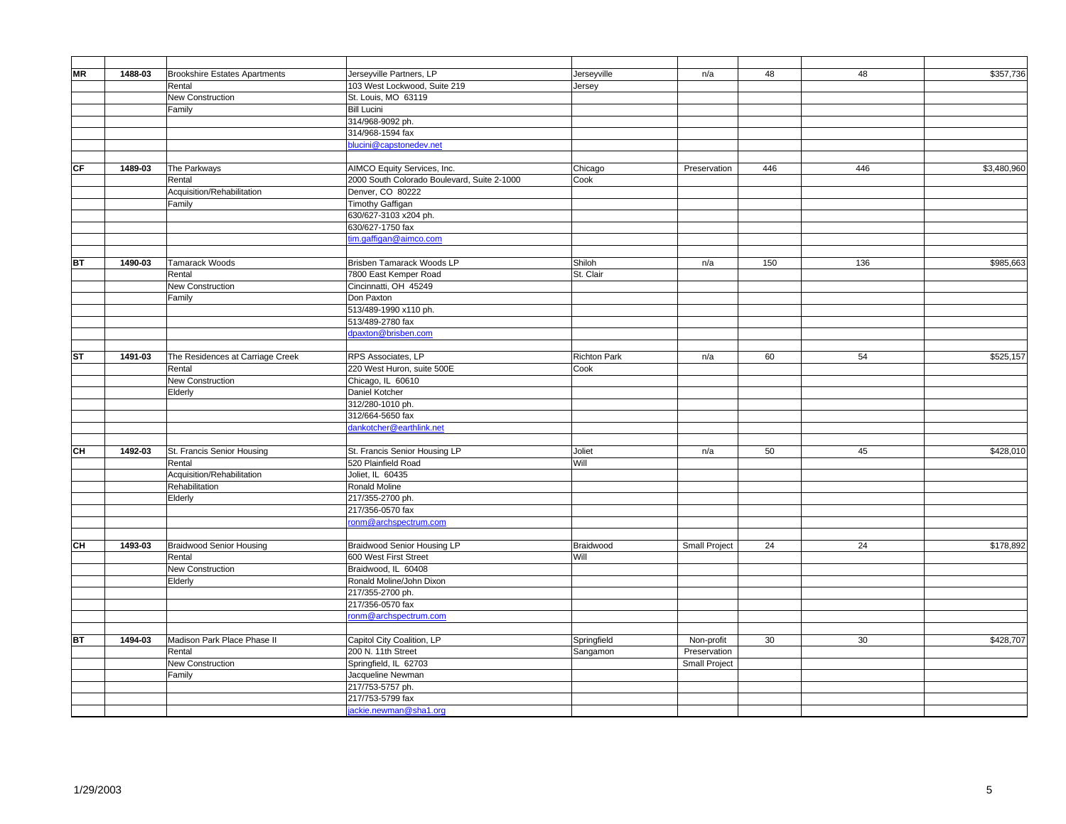| MR                                | 1488-03 | <b>Brookshire Estates Apartments</b> | Jerseyville Partners, LP                    | Jerseyville         | n/a           | 48  | 48  | \$357,736   |
|-----------------------------------|---------|--------------------------------------|---------------------------------------------|---------------------|---------------|-----|-----|-------------|
|                                   |         | Rental                               | 103 West Lockwood, Suite 219                | Jersey              |               |     |     |             |
|                                   |         | New Construction                     | St. Louis, MO 63119                         |                     |               |     |     |             |
|                                   |         | Family                               | <b>Bill Lucini</b>                          |                     |               |     |     |             |
|                                   |         |                                      | 314/968-9092 ph.                            |                     |               |     |     |             |
|                                   |         |                                      | 314/968-1594 fax                            |                     |               |     |     |             |
|                                   |         |                                      | blucini@capstonedev.net                     |                     |               |     |     |             |
|                                   |         |                                      |                                             |                     |               |     |     |             |
| $\overline{\mathsf{C}\mathsf{F}}$ | 1489-03 | The Parkways                         | AIMCO Equity Services, Inc.                 | Chicago             | Preservation  | 446 | 446 | \$3,480,960 |
|                                   |         | Rental                               | 2000 South Colorado Boulevard, Suite 2-1000 | Cook                |               |     |     |             |
|                                   |         | Acquisition/Rehabilitation           | Denver, CO 80222                            |                     |               |     |     |             |
|                                   |         | Family                               | Timothy Gaffigan                            |                     |               |     |     |             |
|                                   |         |                                      | 630/627-3103 x204 ph.                       |                     |               |     |     |             |
|                                   |         |                                      | 630/627-1750 fax                            |                     |               |     |     |             |
|                                   |         |                                      | tim.gaffigan@aimco.com                      |                     |               |     |     |             |
|                                   |         |                                      |                                             |                     |               |     |     |             |
| <b>BT</b>                         | 1490-03 | Tamarack Woods                       | Brisben Tamarack Woods LP                   | Shiloh              | n/a           | 150 | 136 | \$985,663   |
|                                   |         | Rental                               | 7800 East Kemper Road                       | St. Clair           |               |     |     |             |
|                                   |         | New Construction                     | Cincinnatti, OH 45249                       |                     |               |     |     |             |
|                                   |         | Family                               | Don Paxton                                  |                     |               |     |     |             |
|                                   |         |                                      | 513/489-1990 x110 ph.                       |                     |               |     |     |             |
|                                   |         |                                      | 513/489-2780 fax                            |                     |               |     |     |             |
|                                   |         |                                      | dpaxton@brisben.com                         |                     |               |     |     |             |
|                                   |         |                                      |                                             |                     |               |     |     |             |
| <b>ST</b>                         | 1491-03 | The Residences at Carriage Creek     | RPS Associates, LP                          | <b>Richton Park</b> | n/a           | 60  | 54  | \$525,157   |
|                                   |         | Rental                               | 220 West Huron, suite 500E                  | Cook                |               |     |     |             |
|                                   |         | New Construction                     | Chicago, IL 60610                           |                     |               |     |     |             |
|                                   |         | Elderly                              | Daniel Kotcher                              |                     |               |     |     |             |
|                                   |         |                                      | 312/280-1010 ph.                            |                     |               |     |     |             |
|                                   |         |                                      | 312/664-5650 fax                            |                     |               |     |     |             |
|                                   |         |                                      | dankotcher@earthlink.net                    |                     |               |     |     |             |
|                                   |         |                                      |                                             |                     |               |     |     |             |
| CH                                | 1492-03 | St. Francis Senior Housing           | St. Francis Senior Housing LP               | Joliet              | n/a           | 50  | 45  | \$428,010   |
|                                   |         | Rental                               | 520 Plainfield Road                         | Will                |               |     |     |             |
|                                   |         | Acquisition/Rehabilitation           | Joliet, IL 60435                            |                     |               |     |     |             |
|                                   |         | Rehabilitation                       | Ronald Moline                               |                     |               |     |     |             |
|                                   |         | Elderly                              | 217/355-2700 ph.                            |                     |               |     |     |             |
|                                   |         |                                      | 217/356-0570 fax                            |                     |               |     |     |             |
|                                   |         |                                      | onm@archspectrum.com                        |                     |               |     |     |             |
|                                   |         |                                      |                                             |                     |               |     |     |             |
| CH                                | 1493-03 | <b>Braidwood Senior Housing</b>      | Braidwood Senior Housing LP                 | Braidwood           | Small Project | 24  | 24  | \$178,892   |
|                                   |         | Rental                               | 600 West First Street                       | Will                |               |     |     |             |
|                                   |         | New Construction                     | Braidwood, IL 60408                         |                     |               |     |     |             |
|                                   |         | Elderly                              | Ronald Moline/John Dixon                    |                     |               |     |     |             |
|                                   |         |                                      | 217/355-2700 ph.                            |                     |               |     |     |             |
|                                   |         |                                      | 217/356-0570 fax                            |                     |               |     |     |             |
|                                   |         |                                      | ronm@archspectrum.com                       |                     |               |     |     |             |
|                                   |         |                                      |                                             |                     |               |     |     |             |
| <b>BT</b>                         | 1494-03 | Madison Park Place Phase II          | Capitol City Coalition, LP                  | Springfield         | Non-profit    | 30  | 30  | \$428,707   |
|                                   |         | Rental                               | 200 N. 11th Street                          | Sangamon            | Preservation  |     |     |             |
|                                   |         | New Construction                     | Springfield, IL 62703                       |                     | Small Project |     |     |             |
|                                   |         | Family                               | Jacqueline Newman                           |                     |               |     |     |             |
|                                   |         |                                      | 217/753-5757 ph.                            |                     |               |     |     |             |
|                                   |         |                                      | 217/753-5799 fax                            |                     |               |     |     |             |
|                                   |         |                                      | jackie.newman@sha1.org                      |                     |               |     |     |             |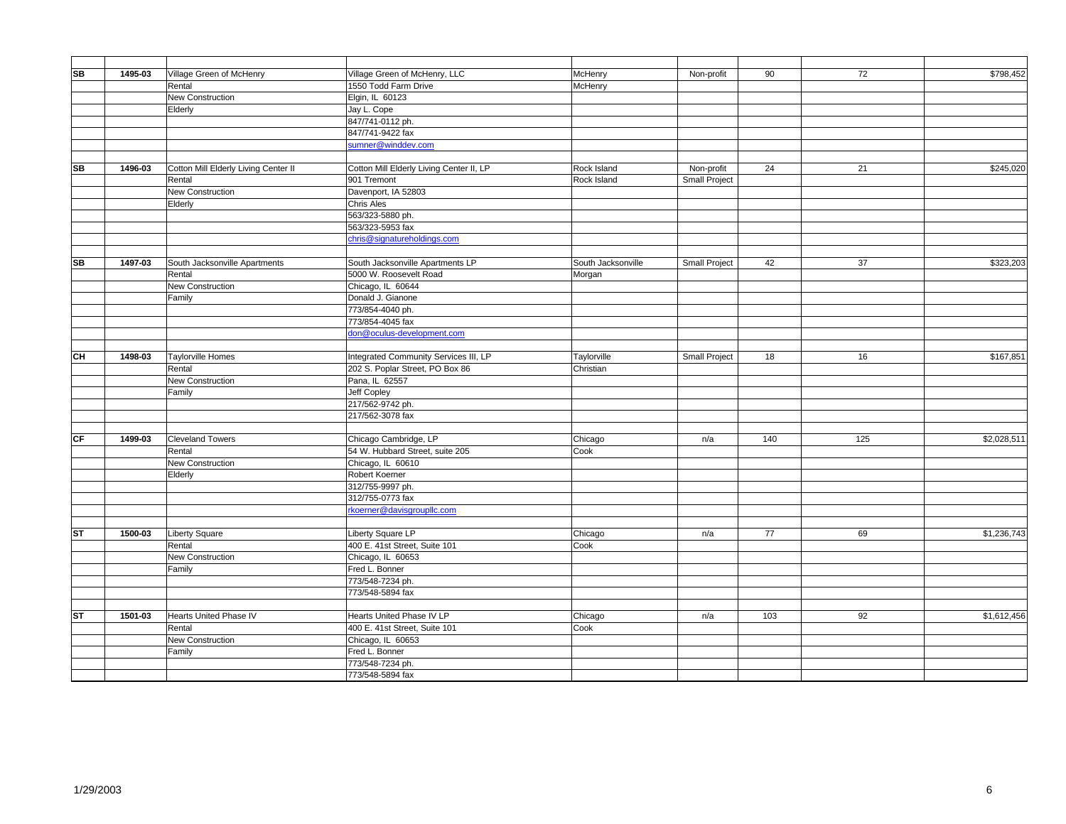| <b>SB</b> | 1495-03 | Village Green of McHenry             | Village Green of McHenry, LLC            | McHenry            | Non-profit           | 90  | 72  | \$798,452   |
|-----------|---------|--------------------------------------|------------------------------------------|--------------------|----------------------|-----|-----|-------------|
|           |         | Rental                               | 1550 Todd Farm Drive                     | McHenry            |                      |     |     |             |
|           |         | New Construction                     | Elgin, IL 60123                          |                    |                      |     |     |             |
|           |         | Elderly                              | Jay L. Cope                              |                    |                      |     |     |             |
|           |         |                                      | 847/741-0112 ph.                         |                    |                      |     |     |             |
|           |         |                                      | 847/741-9422 fax                         |                    |                      |     |     |             |
|           |         |                                      | sumner@winddev.com                       |                    |                      |     |     |             |
|           |         |                                      |                                          |                    |                      |     |     |             |
| <b>SB</b> | 1496-03 | Cotton Mill Elderly Living Center II | Cotton Mill Elderly Living Center II, LP | Rock Island        | Non-profit           | 24  | 21  | \$245,020   |
|           |         | Rental                               | 901 Tremont                              | Rock Island        | Small Project        |     |     |             |
|           |         | <b>New Construction</b>              | Davenport, IA 52803                      |                    |                      |     |     |             |
|           |         | Elderly                              | <b>Chris Ales</b>                        |                    |                      |     |     |             |
|           |         |                                      | 563/323-5880 ph.                         |                    |                      |     |     |             |
|           |         |                                      | 563/323-5953 fax                         |                    |                      |     |     |             |
|           |         |                                      | chris@signatureholdings.com              |                    |                      |     |     |             |
|           |         |                                      |                                          |                    |                      |     |     |             |
| <b>SB</b> | 1497-03 | South Jacksonville Apartments        | South Jacksonville Apartments LP         | South Jacksonville | <b>Small Project</b> | 42  | 37  | \$323,203   |
|           |         | Rental                               | 5000 W. Roosevelt Road                   | Morgan             |                      |     |     |             |
|           |         | New Construction                     | Chicago, IL 60644                        |                    |                      |     |     |             |
|           |         | Family                               | Donald J. Gianone                        |                    |                      |     |     |             |
|           |         |                                      | 773/854-4040 ph.                         |                    |                      |     |     |             |
|           |         |                                      | 773/854-4045 fax                         |                    |                      |     |     |             |
|           |         |                                      | don@oculus-development.com               |                    |                      |     |     |             |
|           |         |                                      |                                          |                    |                      |     |     |             |
| <b>CH</b> | 1498-03 | <b>Taylorville Homes</b>             | Integrated Community Services III, LP    | Taylorville        | Small Project        | 18  | 16  | \$167,851   |
|           |         | Rental                               | 202 S. Poplar Street, PO Box 86          | Christian          |                      |     |     |             |
|           |         | <b>New Construction</b>              | Pana, IL 62557                           |                    |                      |     |     |             |
|           |         | Family                               | Jeff Copley                              |                    |                      |     |     |             |
|           |         |                                      | 217/562-9742 ph.                         |                    |                      |     |     |             |
|           |         |                                      | 217/562-3078 fax                         |                    |                      |     |     |             |
|           |         |                                      |                                          |                    |                      |     |     |             |
| CF        | 1499-03 | <b>Cleveland Towers</b>              | Chicago Cambridge, LP                    | Chicago            | n/a                  | 140 | 125 | \$2,028,511 |
|           |         | Rental                               | 54 W. Hubbard Street, suite 205          | Cook               |                      |     |     |             |
|           |         | <b>New Construction</b>              | Chicago, IL 60610                        |                    |                      |     |     |             |
|           |         | Elderly                              | Robert Koerner                           |                    |                      |     |     |             |
|           |         |                                      | 312/755-9997 ph.                         |                    |                      |     |     |             |
|           |         |                                      | 312/755-0773 fax                         |                    |                      |     |     |             |
|           |         |                                      | rkoerner@davisgroupllc.com               |                    |                      |     |     |             |
|           |         |                                      |                                          |                    |                      |     |     |             |
| <b>ST</b> | 1500-03 | <b>Liberty Square</b>                | Liberty Square LP                        | Chicago            | n/a                  | 77  | 69  | \$1,236,743 |
|           |         | Rental                               | 400 E. 41st Street, Suite 101            | Cook               |                      |     |     |             |
|           |         | <b>New Construction</b>              | Chicago, IL 60653                        |                    |                      |     |     |             |
|           |         | Family                               | Fred L. Bonner                           |                    |                      |     |     |             |
|           |         |                                      | 773/548-7234 ph.                         |                    |                      |     |     |             |
|           |         |                                      | 773/548-5894 fax                         |                    |                      |     |     |             |
|           |         |                                      |                                          |                    |                      |     |     |             |
| <b>ST</b> | 1501-03 | Hearts United Phase IV               | Hearts United Phase IV LP                | Chicago            | n/a                  | 103 | 92  | \$1,612,456 |
|           |         | Rental                               | 400 E. 41st Street, Suite 101            | Cook               |                      |     |     |             |
|           |         | New Construction                     | Chicago, IL 60653                        |                    |                      |     |     |             |
|           |         | Family                               | Fred L. Bonner                           |                    |                      |     |     |             |
|           |         |                                      | 773/548-7234 ph.                         |                    |                      |     |     |             |
|           |         |                                      | 773/548-5894 fax                         |                    |                      |     |     |             |
|           |         |                                      |                                          |                    |                      |     |     |             |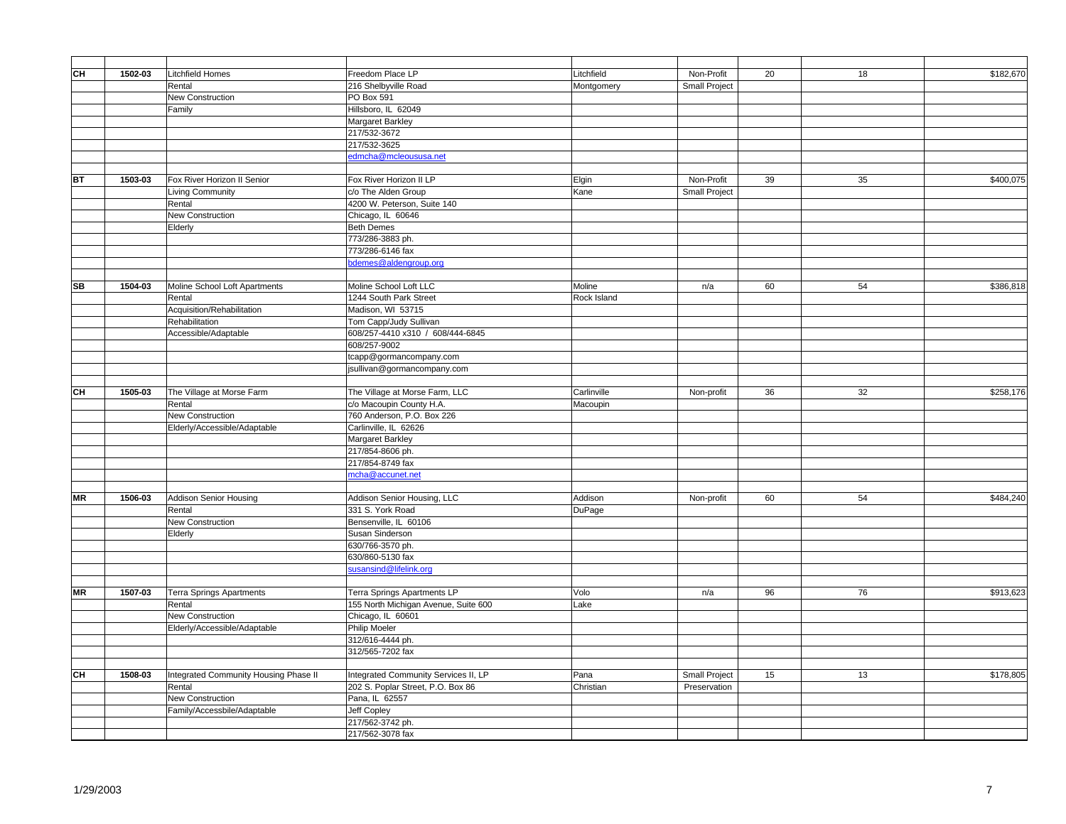| CН        | 1502-03 | <b>Litchfield Homes</b>                 | Freedom Place LP                                | Litchfield  | Non-Profit    | 20 | 18 | \$182,670 |
|-----------|---------|-----------------------------------------|-------------------------------------------------|-------------|---------------|----|----|-----------|
|           |         | Rental                                  | 216 Shelbyville Road                            | Montgomery  | Small Project |    |    |           |
|           |         | New Construction                        | PO Box 591                                      |             |               |    |    |           |
|           |         | Family                                  | Hillsboro, IL 62049                             |             |               |    |    |           |
|           |         |                                         | Margaret Barkley                                |             |               |    |    |           |
|           |         |                                         | 217/532-3672                                    |             |               |    |    |           |
|           |         |                                         | 217/532-3625                                    |             |               |    |    |           |
|           |         |                                         | edmcha@mcleoususa.net                           |             |               |    |    |           |
|           |         |                                         |                                                 |             |               |    |    |           |
| BT        | 1503-03 | Fox River Horizon II Senior             | Fox River Horizon II LP                         | Elgin       | Non-Profit    | 39 | 35 | \$400,075 |
|           |         | <b>Living Community</b>                 | c/o The Alden Group                             | Kane        | Small Project |    |    |           |
|           |         | Rental                                  | 4200 W. Peterson, Suite 140                     |             |               |    |    |           |
|           |         | New Construction                        | Chicago, IL 60646                               |             |               |    |    |           |
|           |         | Elderly                                 | <b>Beth Demes</b>                               |             |               |    |    |           |
|           |         |                                         | 773/286-3883 ph.                                |             |               |    |    |           |
|           |         |                                         | 773/286-6146 fax                                |             |               |    |    |           |
|           |         |                                         | bdemes@aldengroup.org                           |             |               |    |    |           |
|           |         |                                         |                                                 |             |               |    |    |           |
| SB        | 1504-03 | Moline School Loft Apartments           | Moline School Loft LLC                          | Moline      | n/a           | 60 | 54 | \$386,818 |
|           |         | Rental                                  | 1244 South Park Street                          | Rock Island |               |    |    |           |
|           |         | Acquisition/Rehabilitation              | Madison, WI 53715                               |             |               |    |    |           |
|           |         | Rehabilitation                          | Tom Capp/Judy Sullivan                          |             |               |    |    |           |
|           |         | Accessible/Adaptable                    | 608/257-4410 x310 / 608/444-6845                |             |               |    |    |           |
|           |         |                                         | 608/257-9002                                    |             |               |    |    |           |
|           |         |                                         | tcapp@gormancompany.com                         |             |               |    |    |           |
|           |         |                                         | jsullivan@gormancompany.com                     |             |               |    |    |           |
|           |         |                                         |                                                 |             |               |    |    |           |
| CН        | 1505-03 | The Village at Morse Farm               | The Village at Morse Farm, LLC                  | Carlinville | Non-profit    | 36 | 32 | \$258,176 |
|           |         | Rental                                  | c/o Macoupin County H.A.                        | Macoupin    |               |    |    |           |
|           |         | New Construction                        | 760 Anderson, P.O. Box 226                      |             |               |    |    |           |
|           |         | Elderly/Accessible/Adaptable            | Carlinville, IL 62626                           |             |               |    |    |           |
|           |         |                                         | Margaret Barkley                                |             |               |    |    |           |
|           |         |                                         | 217/854-8606 ph.                                |             |               |    |    |           |
|           |         |                                         | 217/854-8749 fax                                |             |               |    |    |           |
|           |         |                                         | mcha@accunet.net                                |             |               |    |    |           |
| <b>MR</b> |         |                                         |                                                 | Addison     |               | 60 | 54 | \$484,240 |
|           | 1506-03 | <b>Addison Senior Housing</b><br>Rental | Addison Senior Housing, LLC<br>331 S. York Road | DuPage      | Non-profit    |    |    |           |
|           |         |                                         |                                                 |             |               |    |    |           |
|           |         | New Construction                        | Bensenville, IL 60106                           |             |               |    |    |           |
|           |         | Elderly                                 | Susan Sinderson<br>630/766-3570 ph.             |             |               |    |    |           |
|           |         |                                         | 630/860-5130 fax                                |             |               |    |    |           |
|           |         |                                         | susansind@lifelink.org                          |             |               |    |    |           |
|           |         |                                         |                                                 |             |               |    |    |           |
| <b>MR</b> | 1507-03 | <b>Terra Springs Apartments</b>         | Terra Springs Apartments LP                     | Volo        | n/a           | 96 | 76 | \$913,623 |
|           |         | Rental                                  | 155 North Michigan Avenue, Suite 600            | Lake        |               |    |    |           |
|           |         | New Construction                        | Chicago, IL 60601                               |             |               |    |    |           |
|           |         | Elderly/Accessible/Adaptable            | Philip Moeler                                   |             |               |    |    |           |
|           |         |                                         | 312/616-4444 ph.                                |             |               |    |    |           |
|           |         |                                         | 312/565-7202 fax                                |             |               |    |    |           |
|           |         |                                         |                                                 |             |               |    |    |           |
| CН        | 1508-03 | Integrated Community Housing Phase II   | Integrated Community Services II, LP            | Pana        | Small Project | 15 | 13 | \$178,805 |
|           |         | Rental                                  | 202 S. Poplar Street, P.O. Box 86               | Christian   | Preservation  |    |    |           |
|           |         | <b>New Construction</b>                 | Pana, IL 62557                                  |             |               |    |    |           |
|           |         | Family/Accessbile/Adaptable             | Jeff Copley                                     |             |               |    |    |           |
|           |         |                                         | 217/562-3742 ph.                                |             |               |    |    |           |
|           |         |                                         | 217/562-3078 fax                                |             |               |    |    |           |